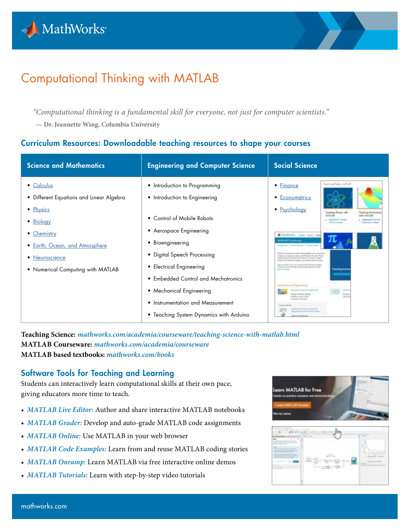

# Computational Thinking with MATLAB

*"Computational thinking is a fundamental skill for everyone, not just for computer scientists."*

**— Dr. Jeannette Wing, Columbia University**

# Curriculum Resources: Downloadable teaching resources to shape your courses

| <b>Science and Mathematics</b>                                                                                                                                                           | <b>Engineering and Computer Science</b>                                                                                                                                                                                                                                                                                                                   | Social Science                                                                                                                                                                                                                                                                                                                                                                                                                                                                                                                                                                                                                                                  |
|------------------------------------------------------------------------------------------------------------------------------------------------------------------------------------------|-----------------------------------------------------------------------------------------------------------------------------------------------------------------------------------------------------------------------------------------------------------------------------------------------------------------------------------------------------------|-----------------------------------------------------------------------------------------------------------------------------------------------------------------------------------------------------------------------------------------------------------------------------------------------------------------------------------------------------------------------------------------------------------------------------------------------------------------------------------------------------------------------------------------------------------------------------------------------------------------------------------------------------------------|
| • Calculus<br>• Different Equations and Linear Algebra<br>• Physics<br>• Biology<br>• Chemistry<br>• Earth, Ocean, and Atmosphere<br>• Neuroscience<br>• Numerical Computing with MATLAB | • Introduction to Programming<br>• Introduction to Engineering<br>• Control of Mobile Robots<br>• Aerospace Engineering<br>• Bioengineering<br>• Digital Speech Processing<br>• Electrical Engineering<br>• Embedded Control and Mechatronics<br>• Mechanical Engineering<br>• Instrumentation and Measurement<br>• Teaching System Dynamics with Arduino | hart aid take such in<br>• Finance<br>• Econometrics<br>• Psychology<br><b><i>Seattling Planets will</i></b><br><b>Washing Diese</b><br><b>MATIAN RO</b><br><b>HATLAN</b><br><b>Charge and Child Constitution</b><br>Attended near men in<br><b>AARABE Commencer</b><br>anial to invalve races creft checks and their<br>and finite-and condition can't consenting concerning to a children<br>the state expects of company, and more than<br>becomes that 1977 fords closed in Additional and thought<br>The give contributed for the componential process that is com-<br>the coup street<br><b><i>International Prints</i></b> No. Principal<br>1.000 St Top |

**Teaching Science:** *[mathworks.com/academia/courseware/teaching-science-with-matlab.html](http://mathworks.com/academia/courseware/teaching-science-with-matlab.html )*  **MATLAB Courseware:** *[mathworks.com/academia/courseware](http://mathworks.com/academia/courseware)*  **MATLAB based textbooks:** *[mathworks.com/books](http://mathworks.com/books)*

## Software Tools for Teaching and Learning

Students can interactively learn computational skills at their own pace, giving educators more time to teach.

- *[MATLAB Live Editor:](https://www.mathworks.com/products/matlab/live-editor.html?s_tid=srchtitle)* Author and share interactive MATLAB notebooks
- *[MATLAB Grader:](https://www.mathworks.com/products/matlab-grader.html)* Develop and auto-grade MATLAB code assignments
- *[MATLAB Online:](https://www.mathworks.com/products/matlab-online.html)* Use MATLAB in your web browser
- *[MATLAB Code Examples:](https://www.mathworks.com/examples/product-family/matlab)* Learn from and reuse MATLAB coding stories
- *[MATLAB Onramp:](https://www.mathworks.com/learn/tutorials/matlab-onramp.html)* Learn MATLAB via free interactive online demos
- *[MATLAB Tutorials:](https://www.mathworks.com/support/learn-with-matlab-tutorials.html)* Learn with step-by-step video tutorials